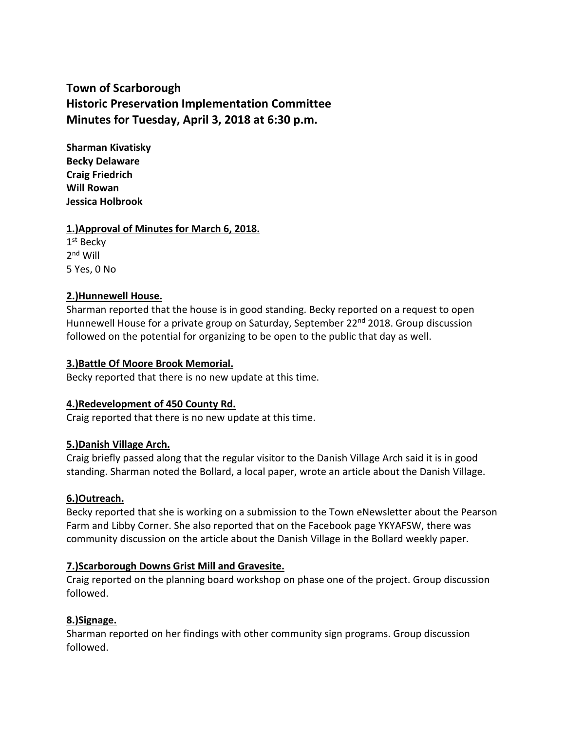# **Town of Scarborough Historic Preservation Implementation Committee Minutes for Tuesday, April 3, 2018 at 6:30 p.m.**

**Sharman Kivatisky Becky Delaware Craig Friedrich Will Rowan Jessica Holbrook**

# **1.)Approval of Minutes for March 6, 2018.**

 $1^{\rm st}$  Becky 2<sup>nd</sup> Will 5 Yes, 0 No

# **2.)Hunnewell House.**

Sharman reported that the house is in good standing. Becky reported on a request to open Hunnewell House for a private group on Saturday, September 22<sup>nd</sup> 2018. Group discussion followed on the potential for organizing to be open to the public that day as well.

## **3.)Battle Of Moore Brook Memorial.**

Becky reported that there is no new update at this time.

## **4.)Redevelopment of 450 County Rd.**

Craig reported that there is no new update at this time.

## **5.)Danish Village Arch.**

Craig briefly passed along that the regular visitor to the Danish Village Arch said it is in good standing. Sharman noted the Bollard, a local paper, wrote an article about the Danish Village.

## **6.)Outreach.**

Becky reported that she is working on a submission to the Town eNewsletter about the Pearson Farm and Libby Corner. She also reported that on the Facebook page YKYAFSW, there was community discussion on the article about the Danish Village in the Bollard weekly paper.

# **7.)Scarborough Downs Grist Mill and Gravesite.**

Craig reported on the planning board workshop on phase one of the project. Group discussion followed.

# **8.)Signage.**

Sharman reported on her findings with other community sign programs. Group discussion followed.